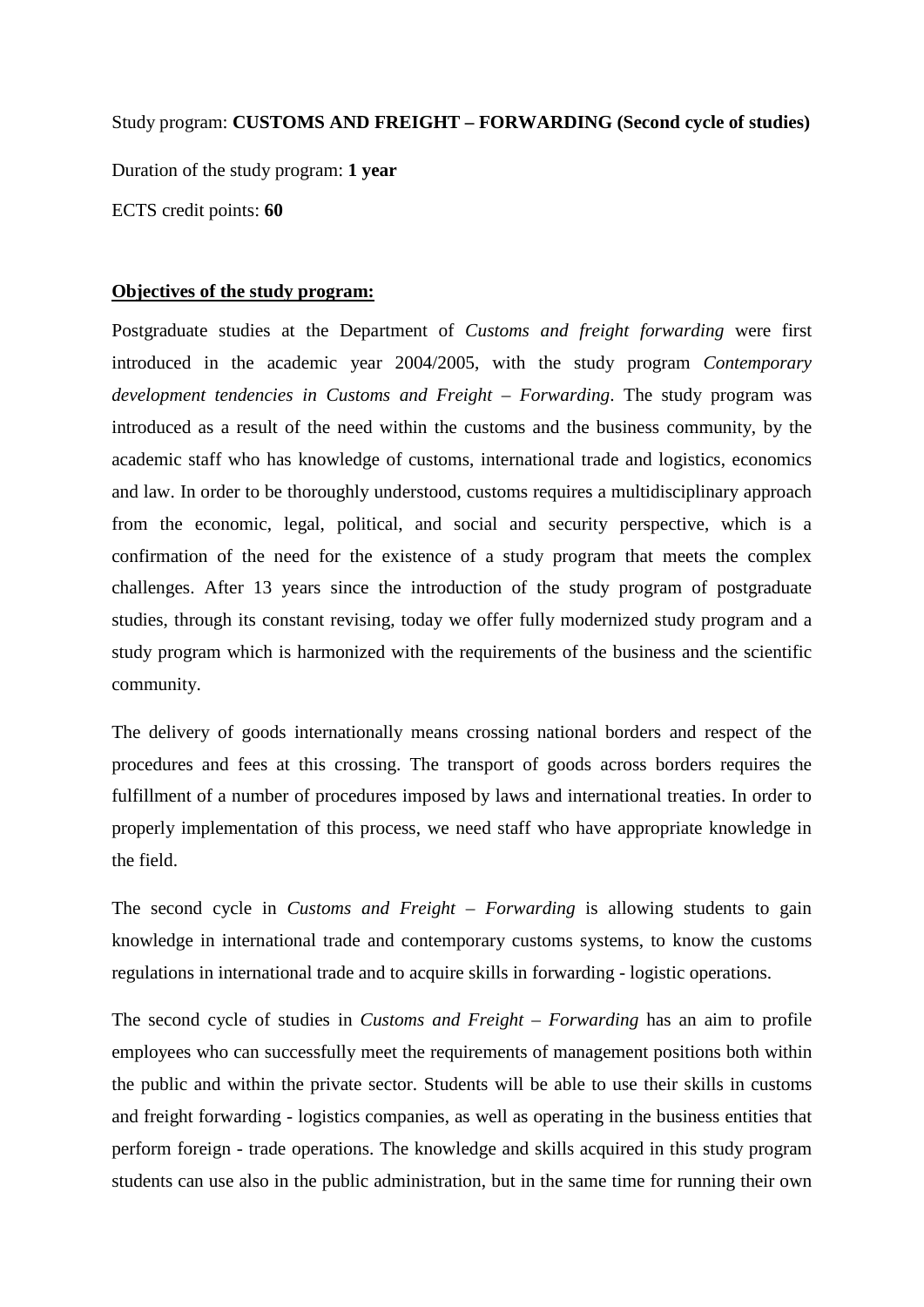Study program: **CUSTOMS AND FREIGHT – FORWARDING (Second cycle of studies)** Duration of the study program: **1 year** ECTS credit points: **60**

#### **Objectives of the study program:**

Postgraduate studies at the Department of *Customs and freight forwarding* were first introduced in the academic year 2004/2005, with the study program *Contemporary development tendencies in Customs and Freight – Forwarding*. The study program was introduced as a result of the need within the customs and the business community, by the academic staff who has knowledge of customs, international trade and logistics, economics and law. In order to be thoroughly understood, customs requires a multidisciplinary approach from the economic, legal, political, and social and security perspective, which is a confirmation of the need for the existence of a study program that meets the complex challenges. After 13 years since the introduction of the study program of postgraduate studies, through its constant revising, today we offer fully modernized study program and a study program which is harmonized with the requirements of the business and the scientific community.

The delivery of goods internationally means crossing national borders and respect of the procedures and fees at this crossing. The transport of goods across borders requires the fulfillment of a number of procedures imposed by laws and international treaties. In order to properly implementation of this process, we need staff who have appropriate knowledge in the field.

The second cycle in *Customs and Freight – Forwarding* is allowing students to gain knowledge in international trade and contemporary customs systems, to know the customs regulations in international trade and to acquire skills in forwarding - logistic operations.

The second cycle of studies in *Customs and Freight – Forwarding* has an aim to profile employees who can successfully meet the requirements of management positions both within the public and within the private sector. Students will be able to use their skills in customs and freight forwarding - logistics companies, as well as operating in the business entities that perform foreign - trade operations. The knowledge and skills acquired in this study program students can use also in the public administration, but in the same time for running their own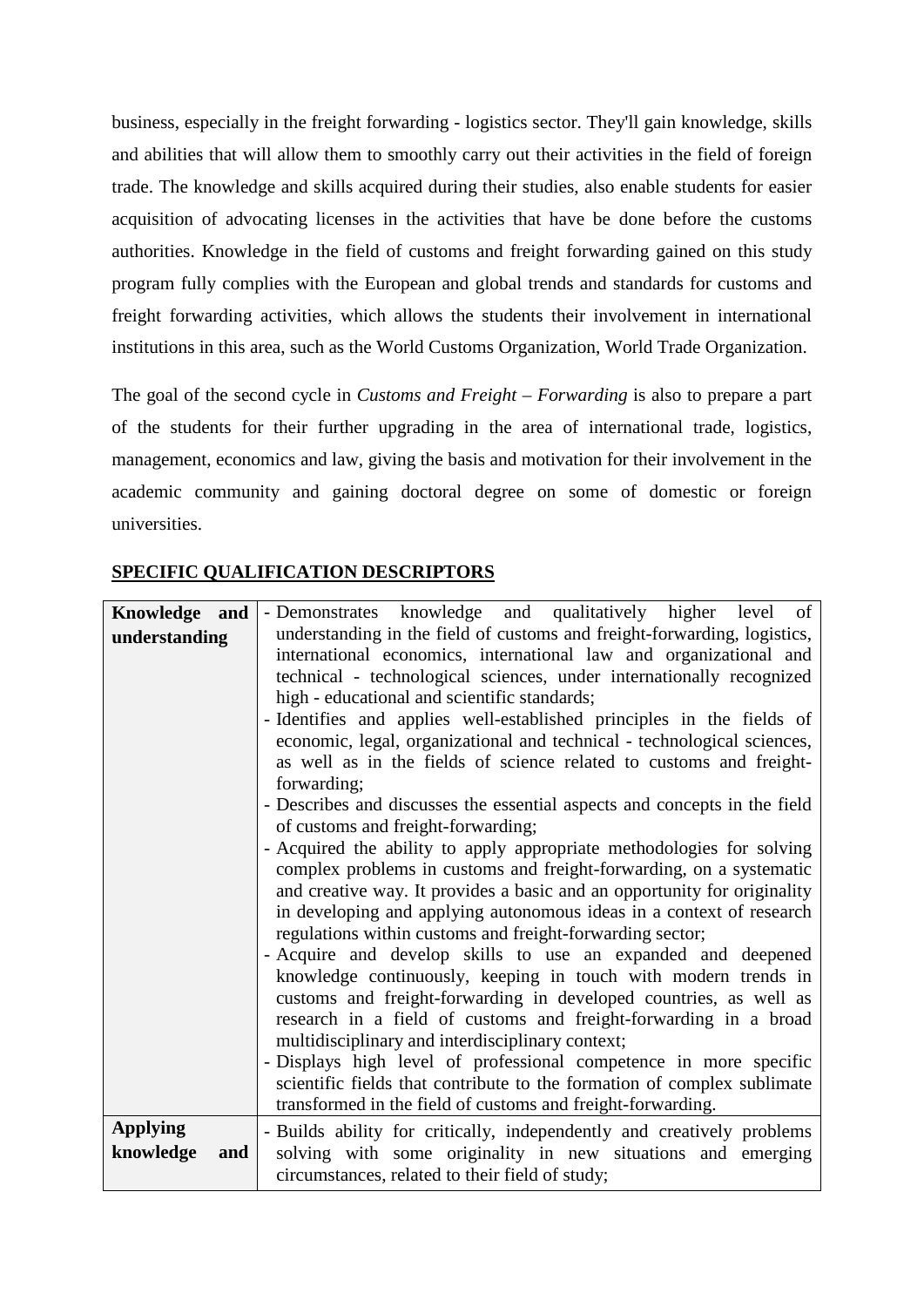business, especially in the freight forwarding - logistics sector. They'll gain knowledge, skills and abilities that will allow them to smoothly carry out their activities in the field of foreign trade. The knowledge and skills acquired during their studies, also enable students for easier acquisition of advocating licenses in the activities that have be done before the customs authorities. Knowledge in the field of customs and freight forwarding gained on this study program fully complies with the European and global trends and standards for customs and freight forwarding activities, which allows the students their involvement in international institutions in this area, such as the World Customs Organization, World Trade Organization.

The goal of the second cycle in *Customs and Freight – Forwarding* is also to prepare a part of the students for their further upgrading in the area of international trade, logistics, management, economics and law, giving the basis and motivation for their involvement in the academic community and gaining doctoral degree on some of domestic or foreign universities.

| Knowledge and                       | - Demonstrates knowledge and qualitatively higher level of                                                                                                                                                                                                                                                                                                                                                                                                                                                                                                                                                                                                                                                                                                                                                                                                                                                                                                                                                                                                          |
|-------------------------------------|---------------------------------------------------------------------------------------------------------------------------------------------------------------------------------------------------------------------------------------------------------------------------------------------------------------------------------------------------------------------------------------------------------------------------------------------------------------------------------------------------------------------------------------------------------------------------------------------------------------------------------------------------------------------------------------------------------------------------------------------------------------------------------------------------------------------------------------------------------------------------------------------------------------------------------------------------------------------------------------------------------------------------------------------------------------------|
| understanding                       | understanding in the field of customs and freight-forwarding, logistics,<br>international economics, international law and organizational and<br>technical - technological sciences, under internationally recognized<br>high - educational and scientific standards;<br>- Identifies and applies well-established principles in the fields of<br>economic, legal, organizational and technical - technological sciences,<br>as well as in the fields of science related to customs and freight-<br>forwarding;<br>- Describes and discusses the essential aspects and concepts in the field<br>of customs and freight-forwarding;<br>- Acquired the ability to apply appropriate methodologies for solving<br>complex problems in customs and freight-forwarding, on a systematic<br>and creative way. It provides a basic and an opportunity for originality<br>in developing and applying autonomous ideas in a context of research<br>regulations within customs and freight-forwarding sector;<br>- Acquire and develop skills to use an expanded and deepened |
|                                     | knowledge continuously, keeping in touch with modern trends in<br>customs and freight-forwarding in developed countries, as well as<br>research in a field of customs and freight-forwarding in a broad<br>multidisciplinary and interdisciplinary context;<br>- Displays high level of professional competence in more specific<br>scientific fields that contribute to the formation of complex sublimate                                                                                                                                                                                                                                                                                                                                                                                                                                                                                                                                                                                                                                                         |
|                                     | transformed in the field of customs and freight-forwarding.                                                                                                                                                                                                                                                                                                                                                                                                                                                                                                                                                                                                                                                                                                                                                                                                                                                                                                                                                                                                         |
| <b>Applying</b><br>knowledge<br>and | - Builds ability for critically, independently and creatively problems<br>solving with some originality in new situations and emerging<br>circumstances, related to their field of study;                                                                                                                                                                                                                                                                                                                                                                                                                                                                                                                                                                                                                                                                                                                                                                                                                                                                           |

### **SPECIFIC QUALIFICATION DESCRIPTORS**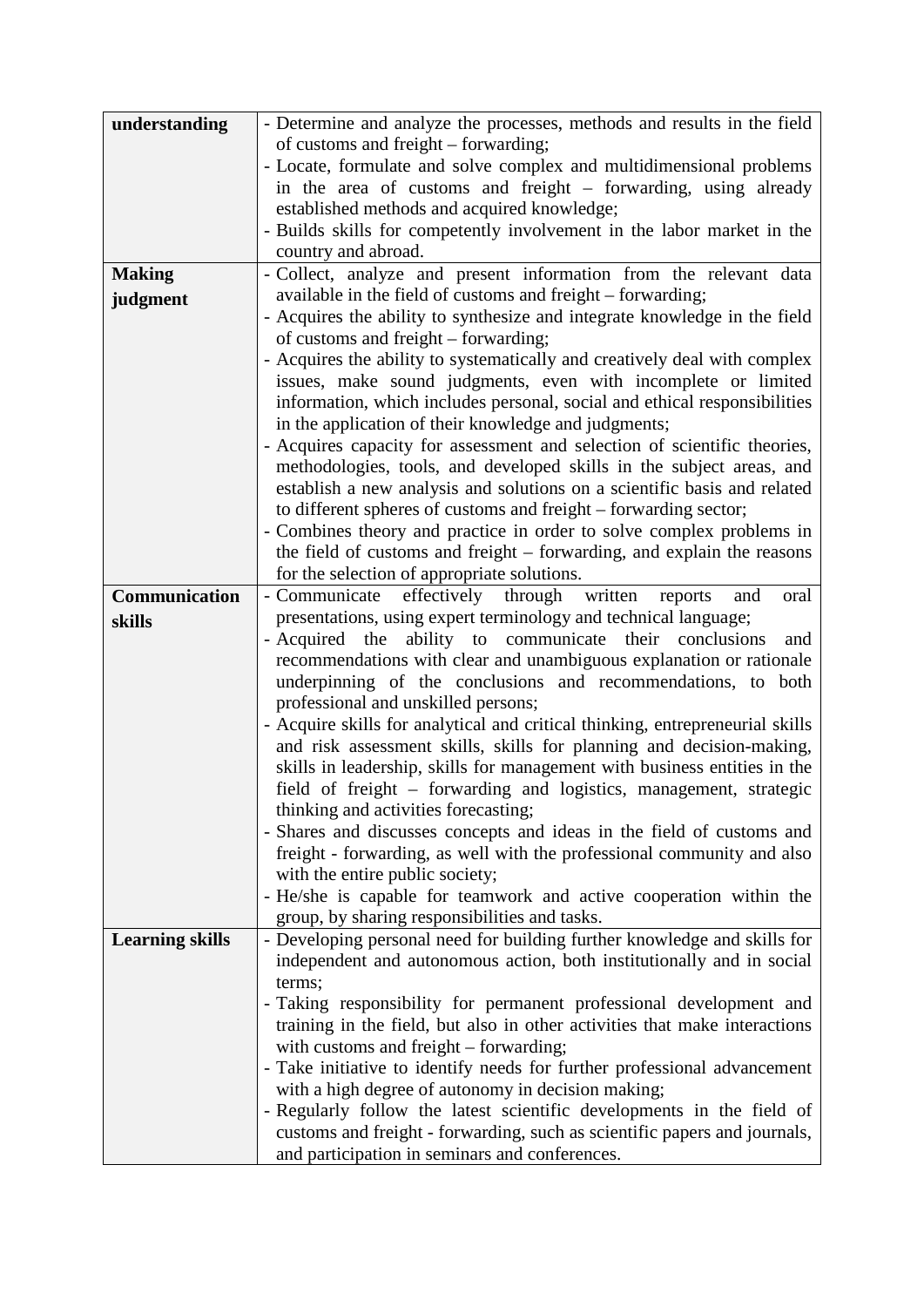| understanding          | - Determine and analyze the processes, methods and results in the field                                                                           |
|------------------------|---------------------------------------------------------------------------------------------------------------------------------------------------|
|                        | of customs and freight – forwarding;                                                                                                              |
|                        | - Locate, formulate and solve complex and multidimensional problems                                                                               |
|                        | in the area of customs and freight – forwarding, using already                                                                                    |
|                        | established methods and acquired knowledge;                                                                                                       |
|                        | - Builds skills for competently involvement in the labor market in the                                                                            |
|                        | country and abroad.                                                                                                                               |
| <b>Making</b>          | - Collect, analyze and present information from the relevant data                                                                                 |
| judgment               | available in the field of customs and freight – forwarding;                                                                                       |
|                        | - Acquires the ability to synthesize and integrate knowledge in the field                                                                         |
|                        | of customs and freight – forwarding;                                                                                                              |
|                        | - Acquires the ability to systematically and creatively deal with complex                                                                         |
|                        | issues, make sound judgments, even with incomplete or limited                                                                                     |
|                        | information, which includes personal, social and ethical responsibilities                                                                         |
|                        | in the application of their knowledge and judgments;                                                                                              |
|                        | - Acquires capacity for assessment and selection of scientific theories,                                                                          |
|                        | methodologies, tools, and developed skills in the subject areas, and                                                                              |
|                        | establish a new analysis and solutions on a scientific basis and related<br>to different spheres of customs and freight – forwarding sector;      |
|                        | - Combines theory and practice in order to solve complex problems in                                                                              |
|                        | the field of customs and freight - forwarding, and explain the reasons                                                                            |
|                        | for the selection of appropriate solutions.                                                                                                       |
| Communication          | effectively<br>- Communicate<br>through written<br>and<br>reports<br>oral                                                                         |
| skills                 | presentations, using expert terminology and technical language;                                                                                   |
|                        | - Acquired the ability to communicate their conclusions<br>and                                                                                    |
|                        | recommendations with clear and unambiguous explanation or rationale                                                                               |
|                        | underpinning of the conclusions and recommendations, to both                                                                                      |
|                        | professional and unskilled persons;                                                                                                               |
|                        | - Acquire skills for analytical and critical thinking, entrepreneurial skills                                                                     |
|                        | and risk assessment skills, skills for planning and decision-making,                                                                              |
|                        | skills in leadership, skills for management with business entities in the                                                                         |
|                        | field of freight - forwarding and logistics, management, strategic                                                                                |
|                        | thinking and activities forecasting;                                                                                                              |
|                        | - Shares and discusses concepts and ideas in the field of customs and                                                                             |
|                        | freight - forwarding, as well with the professional community and also                                                                            |
|                        | with the entire public society;                                                                                                                   |
|                        | - He/she is capable for teamwork and active cooperation within the                                                                                |
|                        | group, by sharing responsibilities and tasks.                                                                                                     |
| <b>Learning skills</b> | - Developing personal need for building further knowledge and skills for<br>independent and autonomous action, both institutionally and in social |
|                        | terms;                                                                                                                                            |
|                        | - Taking responsibility for permanent professional development and                                                                                |
|                        | training in the field, but also in other activities that make interactions                                                                        |
|                        | with customs and freight - forwarding;                                                                                                            |
|                        | - Take initiative to identify needs for further professional advancement                                                                          |
|                        | with a high degree of autonomy in decision making;                                                                                                |
|                        | - Regularly follow the latest scientific developments in the field of                                                                             |
|                        | customs and freight - forwarding, such as scientific papers and journals,                                                                         |
|                        | and participation in seminars and conferences.                                                                                                    |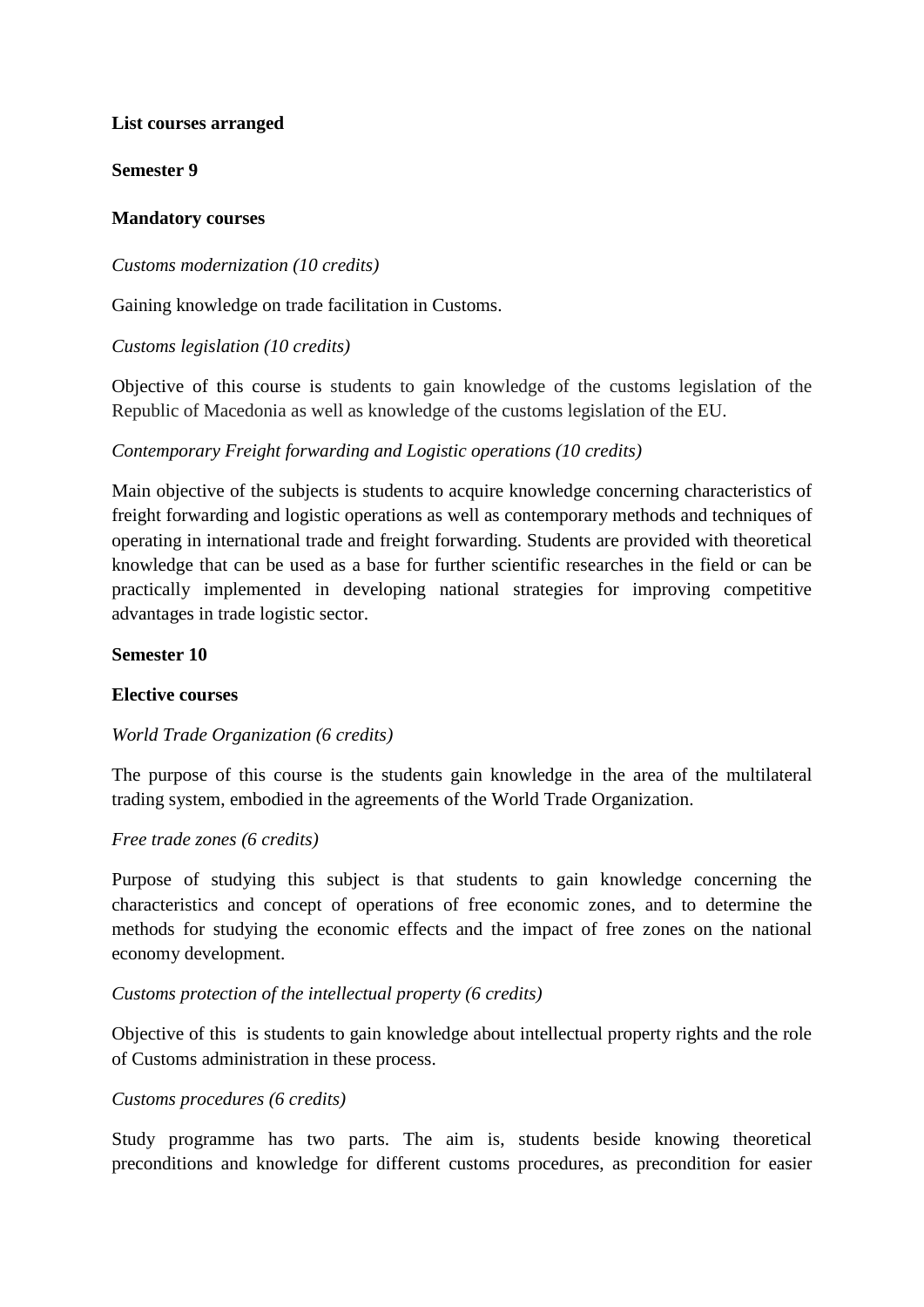#### **List courses arranged**

**Semester 9**

#### **Mandatory courses**

#### *Customs modernization (10 credits)*

Gaining knowledge on trade facilitation in Customs.

#### *Customs legislation (10 credits)*

Objective of this course is students to gain knowledge of the customs legislation of the Republic of Macedonia as well as knowledge of the customs legislation of the EU.

### *Contemporary Freight forwarding and Logistic operations (10 credits)*

Main objective of the subjects is students to acquire knowledge concerning characteristics of freight forwarding and logistic operations as well as contemporary methods and techniques of operating in international trade and freight forwarding. Students are provided with theoretical knowledge that can be used as a base for further scientific researches in the field or can be practically implemented in developing national strategies for improving competitive advantages in trade logistic sector.

#### **Semester 10**

#### **Elective courses**

#### *World Trade Organization (6 credits)*

The purpose of this course is the students gain knowledge in the area of the multilateral trading system, embodied in the agreements of the World Trade Organization.

#### *Free trade zones (6 credits)*

Purpose of studying this subject is that students to gain knowledge concerning the characteristics and concept of operations of free economic zones, and to determine the methods for studying the economic effects and the impact of free zones on the national economy development.

#### *Customs protection of the intellectual property (6 credits)*

Objective of this is students to gain knowledge about intellectual property rights and the role of Customs administration in these process.

#### *Customs procedures (6 credits)*

Study programme has two parts. The aim is, students beside knowing theoretical preconditions and knowledge for different customs procedures, as precondition for easier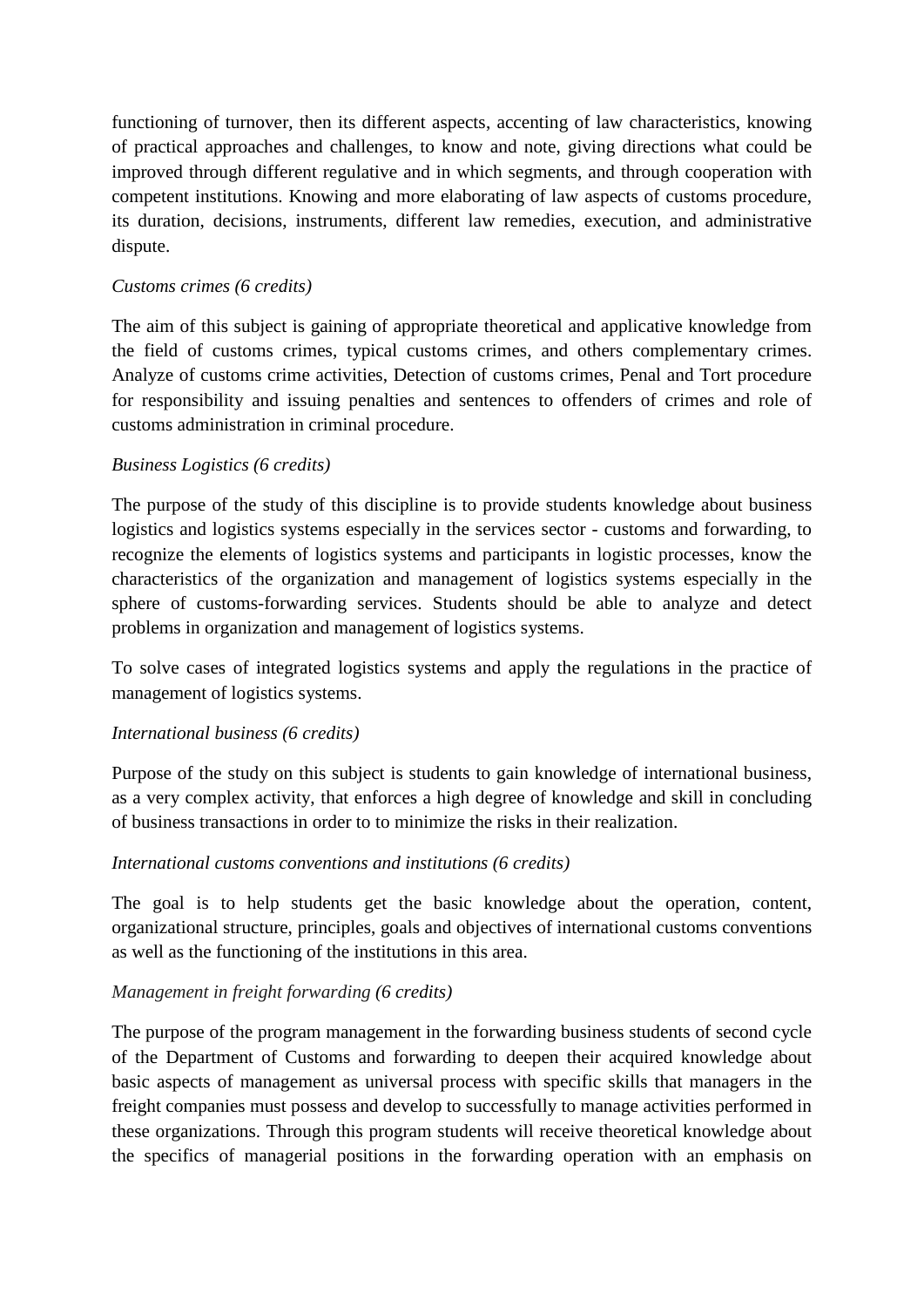functioning of turnover, then its different aspects, accenting of law characteristics, knowing of practical approaches and challenges, to know and note, giving directions what could be improved through different regulative and in which segments, and through cooperation with competent institutions. Knowing and more elaborating of law aspects of customs procedure, its duration, decisions, instruments, different law remedies, execution, and administrative dispute.

#### *Customs crimes (6 credits)*

The aim of this subject is gaining of appropriate theoretical and applicative knowledge from the field of customs crimes, typical customs crimes, and others complementary crimes. Analyze of customs crime activities, Detection of customs crimes, Penal and Tort procedure for responsibility and issuing penalties and sentences to offenders of crimes and role of customs administration in criminal procedure.

### *Business Logistics (6 credits)*

The purpose of the study of this discipline is to provide students knowledge about business logistics and logistics systems especially in the services sector - customs and forwarding, to recognize the elements of logistics systems and participants in logistic processes, know the characteristics of the organization and management of logistics systems especially in the sphere of customs-forwarding services. Students should be able to analyze and detect problems in organization and management of logistics systems.

To solve cases of integrated logistics systems and apply the regulations in the practice of management of logistics systems.

### *International business (6 credits)*

Purpose of the study on this subject is students to gain knowledge of international business, as a very complex activity, that enforces a high degree of knowledge and skill in concluding of business transactions in order to to minimize the risks in their realization.

#### *International customs conventions and institutions (6 credits)*

The goal is to help students get the basic knowledge about the operation, content, organizational structure, principles, goals and objectives of international customs conventions as well as the functioning of the institutions in this area.

#### *Management in freight forwarding (6 credits)*

The purpose of the program management in the forwarding business students of second cycle of the Department of Customs and forwarding to deepen their acquired knowledge about basic aspects of management as universal process with specific skills that managers in the freight companies must possess and develop to successfully to manage activities performed in these organizations. Through this program students will receive theoretical knowledge about the specifics of managerial positions in the forwarding operation with an emphasis on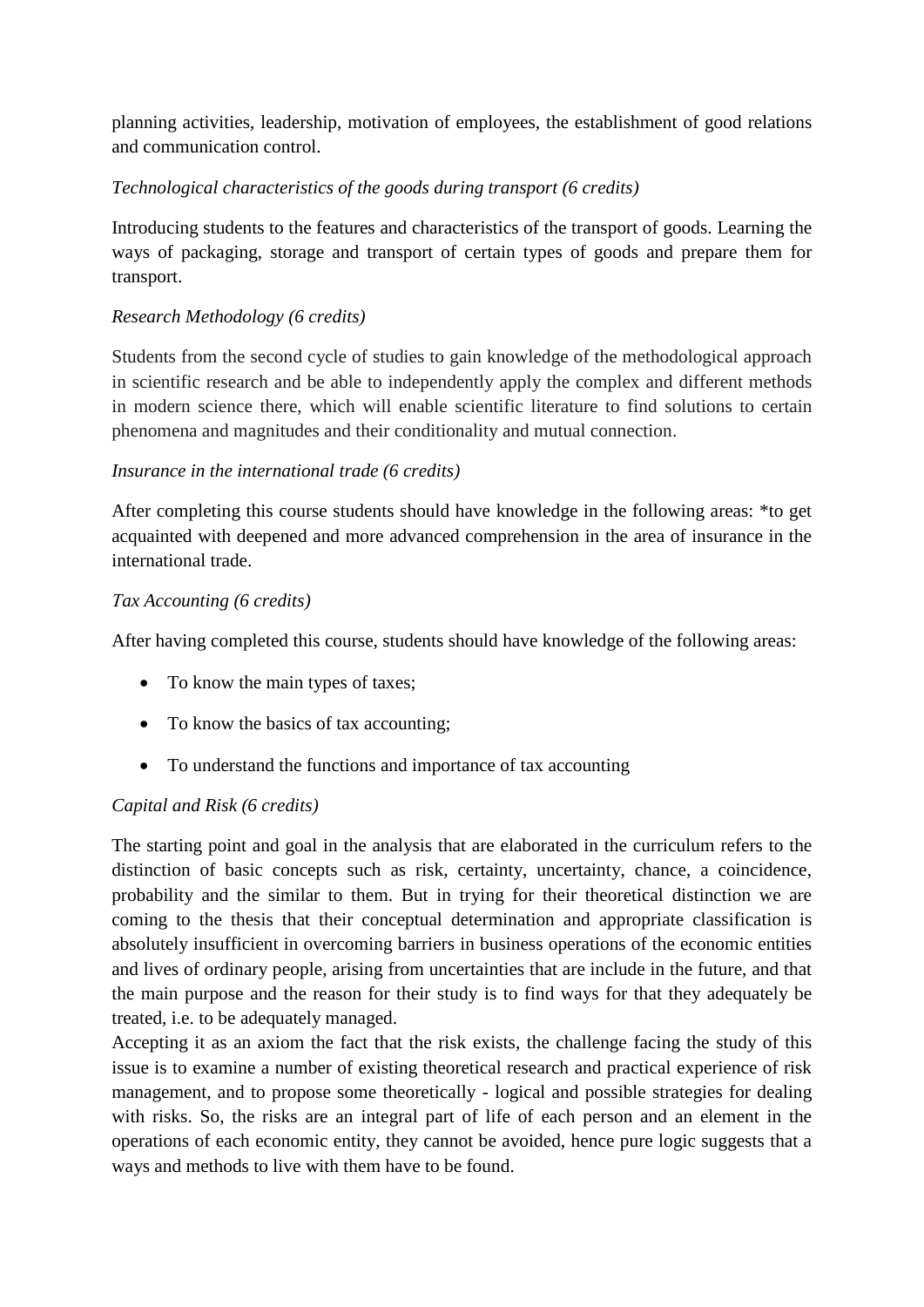planning activities, leadership, motivation of employees, the establishment of good relations and communication control.

# *Technological characteristics of the goods during transport (6 credits)*

Introducing students to the features and characteristics of the transport of goods. Learning the ways of packaging, storage and transport of certain types of goods and prepare them for transport.

# *Research Methodology (6 credits)*

Students from the second cycle of studies to gain knowledge of the methodological approach in scientific research and be able to independently apply the complex and different methods in modern science there, which will enable scientific literature to find solutions to certain phenomena and magnitudes and their conditionality and mutual connection.

### *Insurance in the international trade (6 credits)*

After completing this course students should have knowledge in the following areas: \*to get acquainted with deepened and more advanced comprehension in the area of insurance in the international trade.

### *Тax Accounting (6 credits)*

After having completed this course, students should have knowledge of the following areas:

- To know the main types of taxes;
- To know the basics of tax accounting;
- To understand the functions and importance of tax accounting

### *Capital and Risk (6 credits)*

The starting point and goal in the analysis that are elaborated in the curriculum refers to the distinction of basic concepts such as risk, certainty, uncertainty, chance, a coincidence, probability and the similar to them. But in trying for their theoretical distinction we are coming to the thesis that their conceptual determination and appropriate classification is absolutely insufficient in overcoming barriers in business operations of the economic entities and lives of ordinary people, arising from uncertainties that are include in the future, and that the main purpose and the reason for their study is to find ways for that they adequately be treated, i.e. to be adequately managed.

Accepting it as an axiom the fact that the risk exists, the challenge facing the study of this issue is to examine a number of existing theoretical research and practical experience of risk management, and to propose some theoretically - logical and possible strategies for dealing with risks. So, the risks are an integral part of life of each person and an element in the operations of each economic entity, they cannot be avoided, hence pure logic suggests that a ways and methods to live with them have to be found.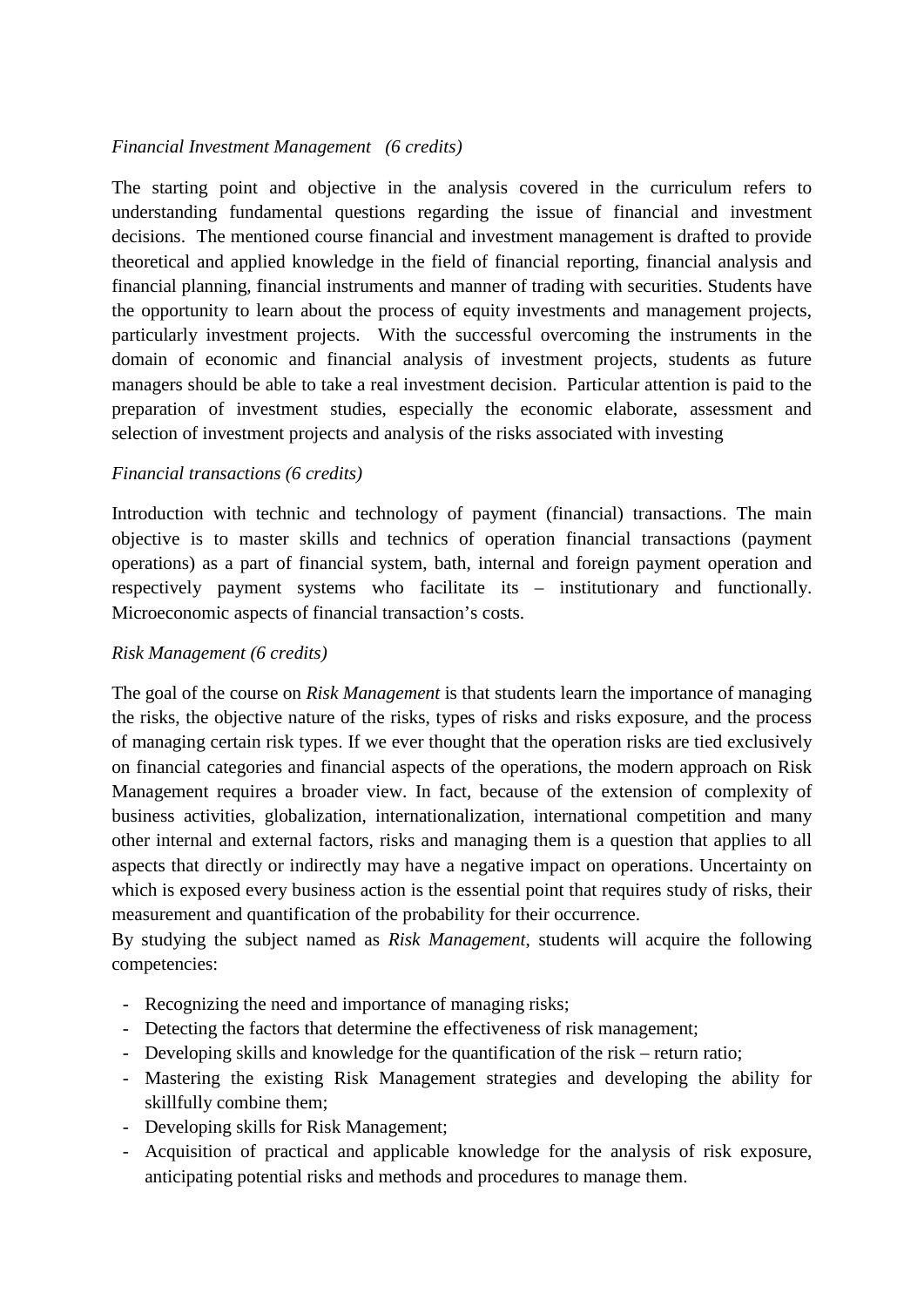#### *Financial Investment Management (6 credits)*

The starting point and objective in the analysis covered in the curriculum refers to understanding fundamental questions regarding the issue of financial and investment decisions. The mentioned course financial and investment management is drafted to provide theoretical and applied knowledge in the field of financial reporting, financial analysis and financial planning, financial instruments and manner of trading with securities. Students have the opportunity to learn about the process of equity investments and management projects, particularly investment projects. With the successful overcoming the instruments in the domain of economic and financial analysis of investment projects, students as future managers should be able to take a real investment decision. Particular attention is paid to the preparation of investment studies, especially the economic elaborate, assessment and selection of investment projects and analysis of the risks associated with investing

#### *Financial transactions (6 credits)*

Introduction with technic and technology of payment (financial) transactions. The main objective is to master skills and technics of operation financial transactions (payment operations) as a part of financial system, bath, internal and foreign payment operation and respectively payment systems who facilitate its – institutionary and functionally. Microeconomic aspects of financial transaction's costs.

#### *Risk Management (6 credits)*

The goal of the course on *Risk Management* is that students learn the importance of managing the risks, the objective nature of the risks, types of risks and risks exposure, and the process of managing certain risk types. If we ever thought that the operation risks are tied exclusively on financial categories and financial aspects of the operations, the modern approach on Risk Management requires a broader view. In fact, because of the extension of complexity of business activities, globalization, internationalization, international competition and many other internal and external factors, risks and managing them is a question that applies to all aspects that directly or indirectly may have a negative impact on operations. Uncertainty on which is exposed every business action is the essential point that requires study of risks, their measurement and quantification of the probability for their occurrence.

By studying the subject named as *Risk Management*, students will acquire the following competencies:

- Recognizing the need and importance of managing risks;
- Detecting the factors that determine the effectiveness of risk management;
- Developing skills and knowledge for the quantification of the risk return ratio;
- Mastering the existing Risk Management strategies and developing the ability for skillfully combine them;
- Developing skills for Risk Management;
- Acquisition of practical and applicable knowledge for the analysis of risk exposure, anticipating potential risks and methods and procedures to manage them.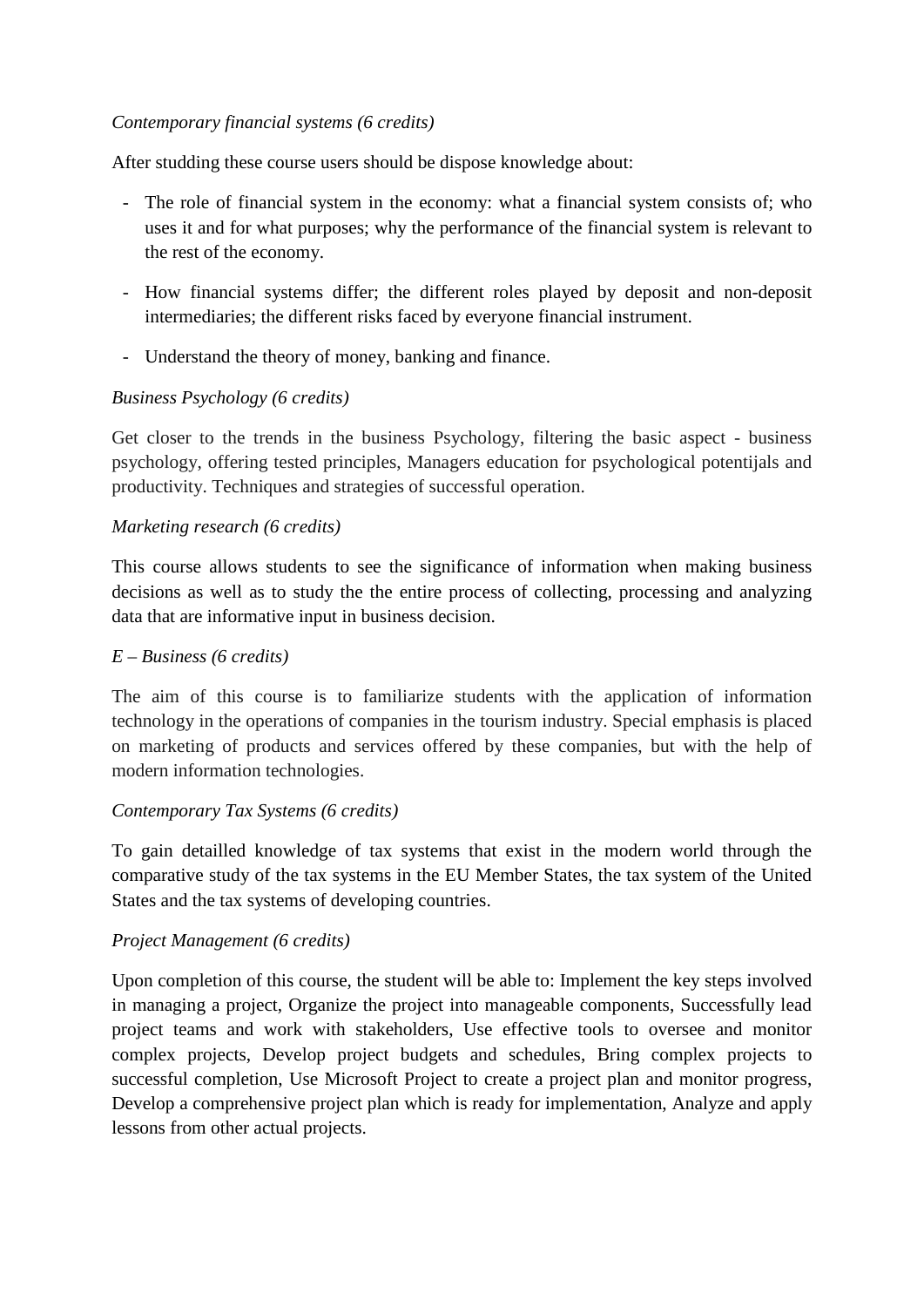#### *Contemporary financial systems (6 credits)*

After studding these course users should be dispose knowledge about:

- The role of financial system in the economy: what a financial system consists of; who uses it and for what purposes; why the performance of the financial system is relevant to the rest of the economy.
- How financial systems differ; the different roles played by deposit and non-deposit intermediaries; the different risks faced by everyone financial instrument.
- Understand the theory of money, banking and finance.

# *Business Psychology (6 credits)*

Get closer to the trends in the business Psychology, filtering the basic aspect - business psychology, offering tested principles, Managers education for psychological potentijals and productivity. Techniques and strategies of successful operation.

### *Marketing research (6 credits)*

This course allows students to see the significance of information when making business decisions as well as to study the the entire process of collecting, processing and analyzing data that are informative input in business decision.

#### *E – Business (6 credits)*

The aim of this course is to familiarize students with the application of information technology in the operations of companies in the tourism industry. Special emphasis is placed on marketing of products and services offered by these companies, but with the help of modern information technologies.

### *Contemporary Tax Systems (6 credits)*

To gain detailled knowledge of tax systems that exist in the modern world through the comparative study of the tax systems in the EU Member States, the tax system of the United States and the tax systems of developing countries.

### *Project Management (6 credits)*

Upon completion of this course, the student will be able to: Implement the key steps involved in managing a project, Organize the project into manageable components, Successfully lead project teams and work with stakeholders, Use effective tools to oversee and monitor complex projects, Develop project budgets and schedules, Bring complex projects to successful completion, Use Microsoft Project to create a project plan and monitor progress, Develop a comprehensive project plan which is ready for implementation, Analyze and apply lessons from other actual projects.